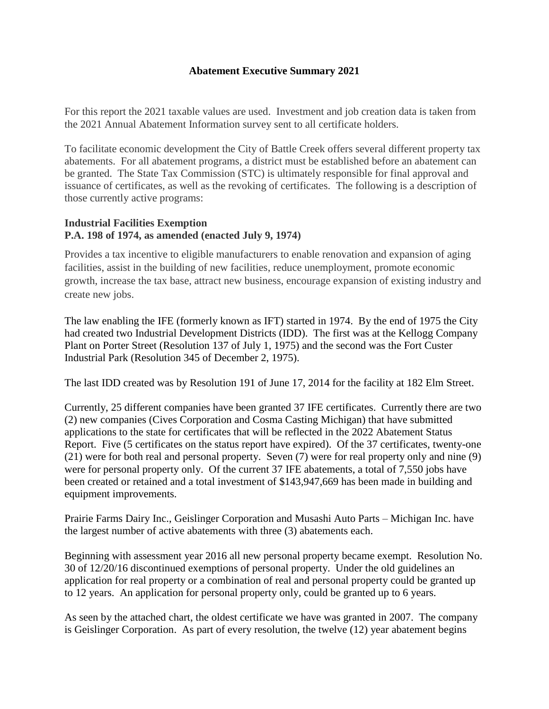## **Abatement Executive Summary 2021**

For this report the 2021 taxable values are used. Investment and job creation data is taken from the 2021 Annual Abatement Information survey sent to all certificate holders.

To facilitate economic development the City of Battle Creek offers several different property tax abatements. For all abatement programs, a district must be established before an abatement can be granted. The State Tax Commission (STC) is ultimately responsible for final approval and issuance of certificates, as well as the revoking of certificates. The following is a description of those currently active programs:

## **Industrial Facilities Exemption P.A. 198 of 1974, as amended (enacted July 9, 1974)**

Provides a tax incentive to eligible manufacturers to enable renovation and expansion of aging facilities, assist in the building of new facilities, reduce unemployment, promote economic growth, increase the tax base, attract new business, encourage expansion of existing industry and create new jobs.

The law enabling the IFE (formerly known as IFT) started in 1974. By the end of 1975 the City had created two Industrial Development Districts (IDD). The first was at the Kellogg Company Plant on Porter Street (Resolution 137 of July 1, 1975) and the second was the Fort Custer Industrial Park (Resolution 345 of December 2, 1975).

The last IDD created was by Resolution 191 of June 17, 2014 for the facility at 182 Elm Street.

Currently, 25 different companies have been granted 37 IFE certificates. Currently there are two (2) new companies (Cives Corporation and Cosma Casting Michigan) that have submitted applications to the state for certificates that will be reflected in the 2022 Abatement Status Report. Five (5 certificates on the status report have expired). Of the 37 certificates, twenty-one (21) were for both real and personal property. Seven (7) were for real property only and nine (9) were for personal property only. Of the current 37 IFE abatements, a total of 7,550 jobs have been created or retained and a total investment of \$143,947,669 has been made in building and equipment improvements.

Prairie Farms Dairy Inc., Geislinger Corporation and Musashi Auto Parts – Michigan Inc. have the largest number of active abatements with three (3) abatements each.

Beginning with assessment year 2016 all new personal property became exempt. Resolution No. 30 of 12/20/16 discontinued exemptions of personal property. Under the old guidelines an application for real property or a combination of real and personal property could be granted up to 12 years. An application for personal property only, could be granted up to 6 years.

As seen by the attached chart, the oldest certificate we have was granted in 2007. The company is Geislinger Corporation. As part of every resolution, the twelve (12) year abatement begins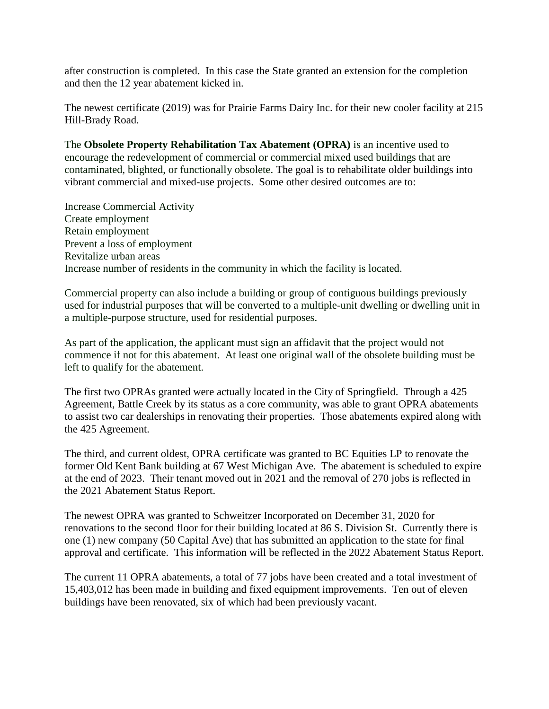after construction is completed. In this case the State granted an extension for the completion and then the 12 year abatement kicked in.

The newest certificate (2019) was for Prairie Farms Dairy Inc. for their new cooler facility at 215 Hill-Brady Road.

The **Obsolete Property Rehabilitation Tax Abatement (OPRA)** is an incentive used to encourage the redevelopment of commercial or commercial mixed used buildings that are contaminated, blighted, or functionally obsolete. The goal is to rehabilitate older buildings into vibrant commercial and mixed-use projects. Some other desired outcomes are to:

Increase Commercial Activity Create employment Retain employment Prevent a loss of employment Revitalize urban areas Increase number of residents in the community in which the facility is located.

Commercial property can also include a building or group of contiguous buildings previously used for industrial purposes that will be converted to a multiple-unit dwelling or dwelling unit in a multiple-purpose structure, used for residential purposes.

As part of the application, the applicant must sign an affidavit that the project would not commence if not for this abatement. At least one original wall of the obsolete building must be left to qualify for the abatement.

The first two OPRAs granted were actually located in the City of Springfield. Through a 425 Agreement, Battle Creek by its status as a core community, was able to grant OPRA abatements to assist two car dealerships in renovating their properties. Those abatements expired along with the 425 Agreement.

The third, and current oldest, OPRA certificate was granted to BC Equities LP to renovate the former Old Kent Bank building at 67 West Michigan Ave. The abatement is scheduled to expire at the end of 2023. Their tenant moved out in 2021 and the removal of 270 jobs is reflected in the 2021 Abatement Status Report.

The newest OPRA was granted to Schweitzer Incorporated on December 31, 2020 for renovations to the second floor for their building located at 86 S. Division St. Currently there is one (1) new company (50 Capital Ave) that has submitted an application to the state for final approval and certificate. This information will be reflected in the 2022 Abatement Status Report.

The current 11 OPRA abatements, a total of 77 jobs have been created and a total investment of 15,403,012 has been made in building and fixed equipment improvements. Ten out of eleven buildings have been renovated, six of which had been previously vacant.